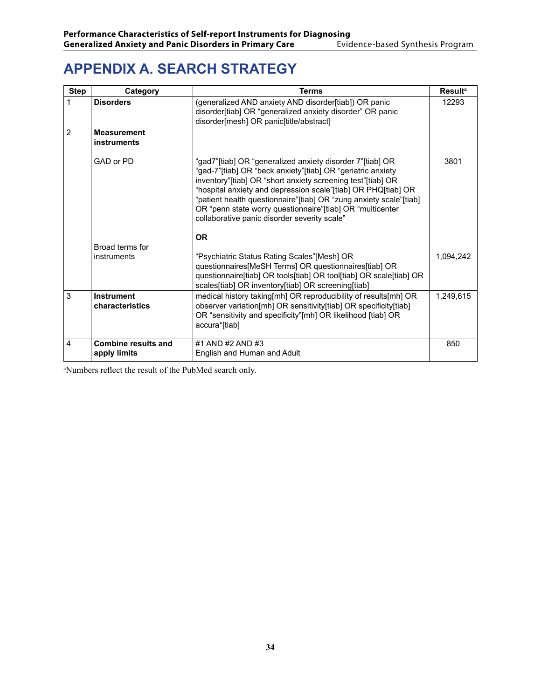# **APPENDIX A. Search Strategy**

| <b>Step</b>    | Category                                   | <b>Terms</b>                                                                                                                                                                                                                                                                                                                                                                                                                                | <b>Result<sup>a</sup></b> |
|----------------|--------------------------------------------|---------------------------------------------------------------------------------------------------------------------------------------------------------------------------------------------------------------------------------------------------------------------------------------------------------------------------------------------------------------------------------------------------------------------------------------------|---------------------------|
| 1              | <b>Disorders</b>                           | (generalized AND anxiety AND disorder[tiab]) OR panic<br>disorder[tiab] OR "generalized anxiety disorder" OR panic<br>disorder[mesh] OR panic[title/abstract]                                                                                                                                                                                                                                                                               | 12293                     |
| $\overline{2}$ | <b>Measurement</b><br>instruments          |                                                                                                                                                                                                                                                                                                                                                                                                                                             |                           |
|                | GAD or PD                                  | "gad7"[tiab] OR "generalized anxiety disorder 7"[tiab] OR<br>"gad-7"[tiab] OR "beck anxiety"[tiab] OR "geriatric anxiety<br>inventory"[tiab] OR "short anxiety screening test"[tiab] OR<br>"hospital anxiety and depression scale"[tiab] OR PHQ[tiab] OR<br>"patient health questionnaire"[tiab] OR "zung anxiety scale"[tiab]<br>OR "penn state worry questionnaire"[tiab] OR "multicenter<br>collaborative panic disorder severity scale" | 3801                      |
|                |                                            | <b>OR</b>                                                                                                                                                                                                                                                                                                                                                                                                                                   |                           |
|                | Broad terms for                            |                                                                                                                                                                                                                                                                                                                                                                                                                                             |                           |
|                | instruments                                | "Psychiatric Status Rating Scales"[Mesh] OR<br>questionnaires[MeSH Terms] OR questionnaires[tiab] OR<br>questionnaire[tiab] OR tools[tiab] OR tool[tiab] OR scale[tiab] OR<br>scales[tiab] OR inventory[tiab] OR screening[tiab]                                                                                                                                                                                                            | 1,094,242                 |
| 3              | <b>Instrument</b><br>characteristics       | medical history taking [mh] OR reproducibility of results [mh] OR<br>observer variation[mh] OR sensitivity[tiab] OR specificity[tiab]<br>OR "sensitivity and specificity"[mh] OR likelihood [tiab] OR<br>accura*[tiab]                                                                                                                                                                                                                      | 1,249,615                 |
| 4              | <b>Combine results and</b><br>apply limits | #1 AND #2 AND #3<br>English and Human and Adult                                                                                                                                                                                                                                                                                                                                                                                             | 850                       |

a Numbers reflect the result of the PubMed search only.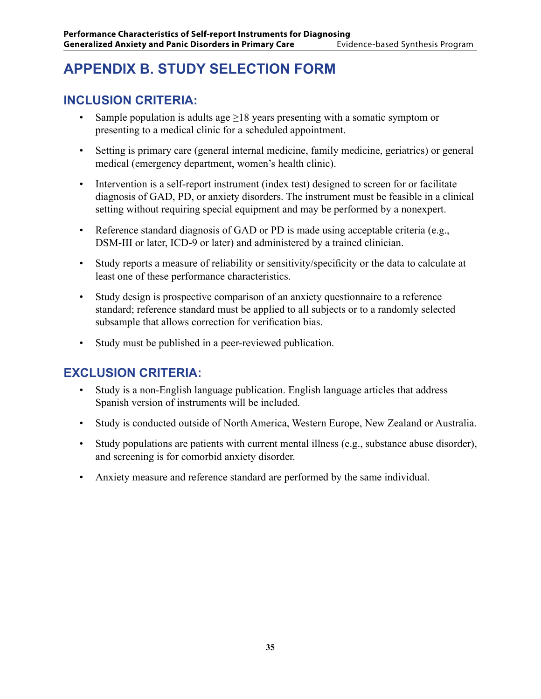# **APPENDIX B. Study Selection Form**

#### **Inclusion criteria:**

- Sample population is adults age  $>18$  years presenting with a somatic symptom or presenting to a medical clinic for a scheduled appointment.
- Setting is primary care (general internal medicine, family medicine, geriatrics) or general medical (emergency department, women's health clinic).
- Intervention is a self-report instrument (index test) designed to screen for or facilitate diagnosis of GAD, PD, or anxiety disorders. The instrument must be feasible in a clinical setting without requiring special equipment and may be performed by a nonexpert.
- Reference standard diagnosis of GAD or PD is made using acceptable criteria (e.g., DSM-III or later, ICD-9 or later) and administered by a trained clinician.
- Study reports a measure of reliability or sensitivity/specificity or the data to calculate at least one of these performance characteristics.
- Study design is prospective comparison of an anxiety questionnaire to a reference standard; reference standard must be applied to all subjects or to a randomly selected subsample that allows correction for verification bias.
- Study must be published in a peer-reviewed publication.

### **Exclusion criteria:**

- Study is a non-English language publication. English language articles that address Spanish version of instruments will be included.
- Study is conducted outside of North America, Western Europe, New Zealand or Australia.
- Study populations are patients with current mental illness (e.g., substance abuse disorder), and screening is for comorbid anxiety disorder.
- Anxiety measure and reference standard are performed by the same individual.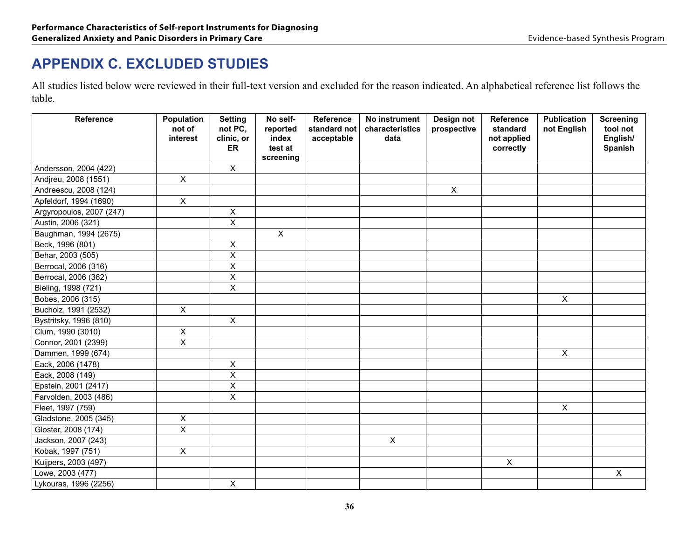# **APPENDIX C. Excluded Studies**

All studies listed below were reviewed in their full-text version and excluded for the reason indicated. An alphabetical reference list follows the table.

| <b>Reference</b>         | Population<br>not of<br>interest | <b>Setting</b><br>not PC,<br>clinic, or<br>ER | No self-<br>reported<br>index<br>test at<br>screening | Reference<br>standard not<br>acceptable | No instrument<br>characteristics<br>data | Design not<br>prospective | Reference<br>standard<br>not applied<br>correctly | <b>Publication</b><br>not English | <b>Screening</b><br>tool not<br>English/<br>Spanish |
|--------------------------|----------------------------------|-----------------------------------------------|-------------------------------------------------------|-----------------------------------------|------------------------------------------|---------------------------|---------------------------------------------------|-----------------------------------|-----------------------------------------------------|
| Andersson, 2004 (422)    |                                  | $\pmb{\times}$                                |                                                       |                                         |                                          |                           |                                                   |                                   |                                                     |
| Andjreu, 2008 (1551)     | $\pmb{\times}$                   |                                               |                                                       |                                         |                                          |                           |                                                   |                                   |                                                     |
| Andreescu, 2008 (124)    |                                  |                                               |                                                       |                                         |                                          | $\mathsf{X}$              |                                                   |                                   |                                                     |
| Apfeldorf, 1994 (1690)   | $\pmb{\times}$                   |                                               |                                                       |                                         |                                          |                           |                                                   |                                   |                                                     |
| Argyropoulos, 2007 (247) |                                  | $\pmb{\times}$                                |                                                       |                                         |                                          |                           |                                                   |                                   |                                                     |
| Austin, 2006 (321)       |                                  | $\overline{X}$                                |                                                       |                                         |                                          |                           |                                                   |                                   |                                                     |
| Baughman, 1994 (2675)    |                                  |                                               | X                                                     |                                         |                                          |                           |                                                   |                                   |                                                     |
| Beck, 1996 (801)         |                                  | X                                             |                                                       |                                         |                                          |                           |                                                   |                                   |                                                     |
| Behar, 2003 (505)        |                                  | $\mathsf X$                                   |                                                       |                                         |                                          |                           |                                                   |                                   |                                                     |
| Berrocal, 2006 (316)     |                                  | $\mathsf X$                                   |                                                       |                                         |                                          |                           |                                                   |                                   |                                                     |
| Berrocal, 2006 (362)     |                                  | $\sf X$                                       |                                                       |                                         |                                          |                           |                                                   |                                   |                                                     |
| Bieling, 1998 (721)      |                                  | $\pmb{\mathsf{X}}$                            |                                                       |                                         |                                          |                           |                                                   |                                   |                                                     |
| Bobes, 2006 (315)        |                                  |                                               |                                                       |                                         |                                          |                           |                                                   | $\mathsf X$                       |                                                     |
| Bucholz, 1991 (2532)     | $\pmb{\times}$                   |                                               |                                                       |                                         |                                          |                           |                                                   |                                   |                                                     |
| Bystritsky, 1996 (810)   |                                  | $\pmb{\times}$                                |                                                       |                                         |                                          |                           |                                                   |                                   |                                                     |
| Clum, 1990 (3010)        | $\pmb{\times}$                   |                                               |                                                       |                                         |                                          |                           |                                                   |                                   |                                                     |
| Connor, 2001 (2399)      | $\mathsf X$                      |                                               |                                                       |                                         |                                          |                           |                                                   |                                   |                                                     |
| Dammen, 1999 (674)       |                                  |                                               |                                                       |                                         |                                          |                           |                                                   | $\mathsf{X}$                      |                                                     |
| Eack, 2006 (1478)        |                                  | $\pmb{\times}$                                |                                                       |                                         |                                          |                           |                                                   |                                   |                                                     |
| Eack, 2008 (149)         |                                  | $\overline{\mathsf{x}}$                       |                                                       |                                         |                                          |                           |                                                   |                                   |                                                     |
| Epstein, 2001 (2417)     |                                  | $\pmb{\times}$                                |                                                       |                                         |                                          |                           |                                                   |                                   |                                                     |
| Farvolden, 2003 (486)    |                                  | $\pmb{\times}$                                |                                                       |                                         |                                          |                           |                                                   |                                   |                                                     |
| Fleet, 1997 (759)        |                                  |                                               |                                                       |                                         |                                          |                           |                                                   | $\overline{X}$                    |                                                     |
| Gladstone, 2005 (345)    | $\boldsymbol{\mathsf{X}}$        |                                               |                                                       |                                         |                                          |                           |                                                   |                                   |                                                     |
| Gloster, 2008 (174)      | $\overline{\mathsf{x}}$          |                                               |                                                       |                                         |                                          |                           |                                                   |                                   |                                                     |
| Jackson, 2007 (243)      |                                  |                                               |                                                       |                                         | $\mathsf X$                              |                           |                                                   |                                   |                                                     |
| Kobak, 1997 (751)        | $\mathsf X$                      |                                               |                                                       |                                         |                                          |                           |                                                   |                                   |                                                     |
| Kuijpers, 2003 (497)     |                                  |                                               |                                                       |                                         |                                          |                           | $\mathsf{X}$                                      |                                   |                                                     |
| Lowe, 2003 (477)         |                                  |                                               |                                                       |                                         |                                          |                           |                                                   |                                   | $\mathsf{X}$                                        |
| Lykouras, 1996 (2256)    |                                  | $\pmb{\times}$                                |                                                       |                                         |                                          |                           |                                                   |                                   |                                                     |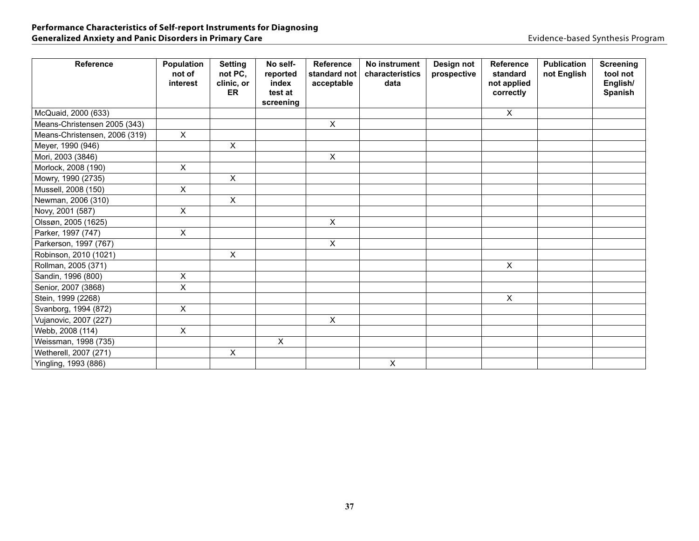| <b>Reference</b>              | Population<br>not of<br>interest | <b>Setting</b><br>not PC,<br>clinic, or<br>ER | No self-<br>reported<br>index<br>test at<br>screening | Reference<br>standard not<br>acceptable | No instrument<br>characteristics<br>data | Design not<br>prospective | <b>Reference</b><br>standard<br>not applied<br>correctly | <b>Publication</b><br>not English | <b>Screening</b><br>tool not<br>English/<br>Spanish |
|-------------------------------|----------------------------------|-----------------------------------------------|-------------------------------------------------------|-----------------------------------------|------------------------------------------|---------------------------|----------------------------------------------------------|-----------------------------------|-----------------------------------------------------|
| McQuaid, 2000 (633)           |                                  |                                               |                                                       |                                         |                                          |                           | X                                                        |                                   |                                                     |
| Means-Christensen 2005 (343)  |                                  |                                               |                                                       | $\pmb{\times}$                          |                                          |                           |                                                          |                                   |                                                     |
| Means-Christensen, 2006 (319) | $\boldsymbol{\mathsf{X}}$        |                                               |                                                       |                                         |                                          |                           |                                                          |                                   |                                                     |
| Meyer, 1990 (946)             |                                  | X                                             |                                                       |                                         |                                          |                           |                                                          |                                   |                                                     |
| Mori, 2003 (3846)             |                                  |                                               |                                                       | $\pmb{\times}$                          |                                          |                           |                                                          |                                   |                                                     |
| Morlock, 2008 (190)           | X                                |                                               |                                                       |                                         |                                          |                           |                                                          |                                   |                                                     |
| Mowry, 1990 (2735)            |                                  | $\pmb{\times}$                                |                                                       |                                         |                                          |                           |                                                          |                                   |                                                     |
| Mussell, 2008 (150)           | $\pmb{\times}$                   |                                               |                                                       |                                         |                                          |                           |                                                          |                                   |                                                     |
| Newman, 2006 (310)            |                                  | $\pmb{\times}$                                |                                                       |                                         |                                          |                           |                                                          |                                   |                                                     |
| Novy, 2001 (587)              | $\pmb{\times}$                   |                                               |                                                       |                                         |                                          |                           |                                                          |                                   |                                                     |
| Olssøn, 2005 (1625)           |                                  |                                               |                                                       | $\mathsf{X}$                            |                                          |                           |                                                          |                                   |                                                     |
| Parker, 1997 (747)            | $\pmb{\times}$                   |                                               |                                                       |                                         |                                          |                           |                                                          |                                   |                                                     |
| Parkerson, 1997 (767)         |                                  |                                               |                                                       | $\pmb{\times}$                          |                                          |                           |                                                          |                                   |                                                     |
| Robinson, 2010 (1021)         |                                  | X                                             |                                                       |                                         |                                          |                           |                                                          |                                   |                                                     |
| Rollman, 2005 (371)           |                                  |                                               |                                                       |                                         |                                          |                           | $\mathsf{X}$                                             |                                   |                                                     |
| Sandin, 1996 (800)            | X                                |                                               |                                                       |                                         |                                          |                           |                                                          |                                   |                                                     |
| Senior, 2007 (3868)           | X                                |                                               |                                                       |                                         |                                          |                           |                                                          |                                   |                                                     |
| Stein, 1999 (2268)            |                                  |                                               |                                                       |                                         |                                          |                           | X                                                        |                                   |                                                     |
| Svanborg, 1994 (872)          | X                                |                                               |                                                       |                                         |                                          |                           |                                                          |                                   |                                                     |
| Vujanovic, 2007 (227)         |                                  |                                               |                                                       | $\pmb{\times}$                          |                                          |                           |                                                          |                                   |                                                     |
| Webb, 2008 (114)              | $\sf X$                          |                                               |                                                       |                                         |                                          |                           |                                                          |                                   |                                                     |
| Weissman, 1998 (735)          |                                  |                                               | X                                                     |                                         |                                          |                           |                                                          |                                   |                                                     |
| Wetherell, 2007 (271)         |                                  | X                                             |                                                       |                                         |                                          |                           |                                                          |                                   |                                                     |
| Yingling, 1993 (886)          |                                  |                                               |                                                       |                                         | $\mathsf{X}$                             |                           |                                                          |                                   |                                                     |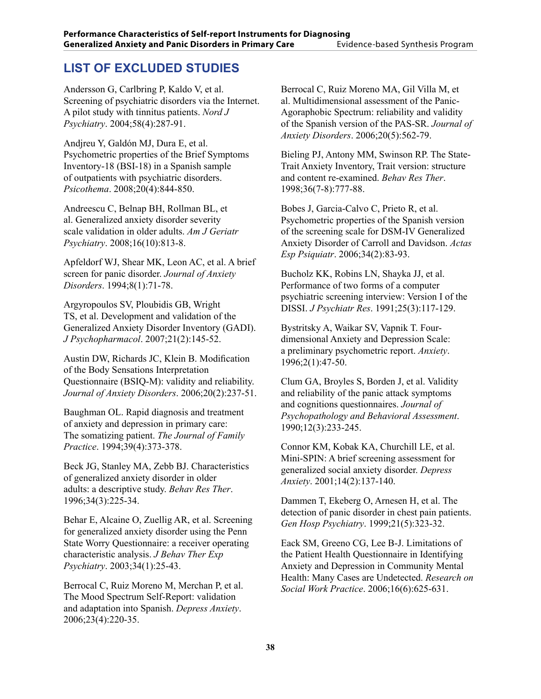#### **List of Excluded Studies**

Andersson G, Carlbring P, Kaldo V, et al. Screening of psychiatric disorders via the Internet. A pilot study with tinnitus patients. *Nord J Psychiatry*. 2004;58(4):287-91.

Andjreu Y, Galdón MJ, Dura E, et al. Psychometric properties of the Brief Symptoms Inventory-18 (BSI-18) in a Spanish sample of outpatients with psychiatric disorders. *Psicothema*. 2008;20(4):844-850.

Andreescu C, Belnap BH, Rollman BL, et al. Generalized anxiety disorder severity scale validation in older adults. *Am J Geriatr Psychiatry*. 2008;16(10):813-8.

Apfeldorf WJ, Shear MK, Leon AC, et al. A brief screen for panic disorder. *Journal of Anxiety Disorders*. 1994;8(1):71-78.

Argyropoulos SV, Ploubidis GB, Wright TS, et al. Development and validation of the Generalized Anxiety Disorder Inventory (GADI). *J Psychopharmacol*. 2007;21(2):145-52.

Austin DW, Richards JC, Klein B. Modification of the Body Sensations Interpretation Questionnaire (BSIQ-M): validity and reliability. *Journal of Anxiety Disorders*. 2006;20(2):237-51.

Baughman OL. Rapid diagnosis and treatment of anxiety and depression in primary care: The somatizing patient. *The Journal of Family Practice*. 1994;39(4):373-378.

Beck JG, Stanley MA, Zebb BJ. Characteristics of generalized anxiety disorder in older adults: a descriptive study. *Behav Res Ther*. 1996;34(3):225-34.

Behar E, Alcaine O, Zuellig AR, et al. Screening for generalized anxiety disorder using the Penn State Worry Questionnaire: a receiver operating characteristic analysis. *J Behav Ther Exp Psychiatry*. 2003;34(1):25-43.

Berrocal C, Ruiz Moreno M, Merchan P, et al. The Mood Spectrum Self-Report: validation and adaptation into Spanish. *Depress Anxiety*. 2006;23(4):220-35.

Berrocal C, Ruiz Moreno MA, Gil Villa M, et al. Multidimensional assessment of the Panic-Agoraphobic Spectrum: reliability and validity of the Spanish version of the PAS-SR. *Journal of Anxiety Disorders*. 2006;20(5):562-79.

Bieling PJ, Antony MM, Swinson RP. The State-Trait Anxiety Inventory, Trait version: structure and content re-examined. *Behav Res Ther*. 1998;36(7-8):777-88.

Bobes J, Garcia-Calvo C, Prieto R, et al. Psychometric properties of the Spanish version of the screening scale for DSM-IV Generalized Anxiety Disorder of Carroll and Davidson. *Actas Esp Psiquiatr*. 2006;34(2):83-93.

Bucholz KK, Robins LN, Shayka JJ, et al. Performance of two forms of a computer psychiatric screening interview: Version I of the DISSI. *J Psychiatr Res*. 1991;25(3):117-129.

Bystritsky A, Waikar SV, Vapnik T. Fourdimensional Anxiety and Depression Scale: a preliminary psychometric report. *Anxiety*. 1996;2(1):47-50.

Clum GA, Broyles S, Borden J, et al. Validity and reliability of the panic attack symptoms and cognitions questionnaires. *Journal of Psychopathology and Behavioral Assessment*. 1990;12(3):233-245.

Connor KM, Kobak KA, Churchill LE, et al. Mini-SPIN: A brief screening assessment for generalized social anxiety disorder. *Depress Anxiety*. 2001;14(2):137-140.

Dammen T, Ekeberg O, Arnesen H, et al. The detection of panic disorder in chest pain patients. *Gen Hosp Psychiatry*. 1999;21(5):323-32.

Eack SM, Greeno CG, Lee B-J. Limitations of the Patient Health Questionnaire in Identifying Anxiety and Depression in Community Mental Health: Many Cases are Undetected. *Research on Social Work Practice*. 2006;16(6):625-631.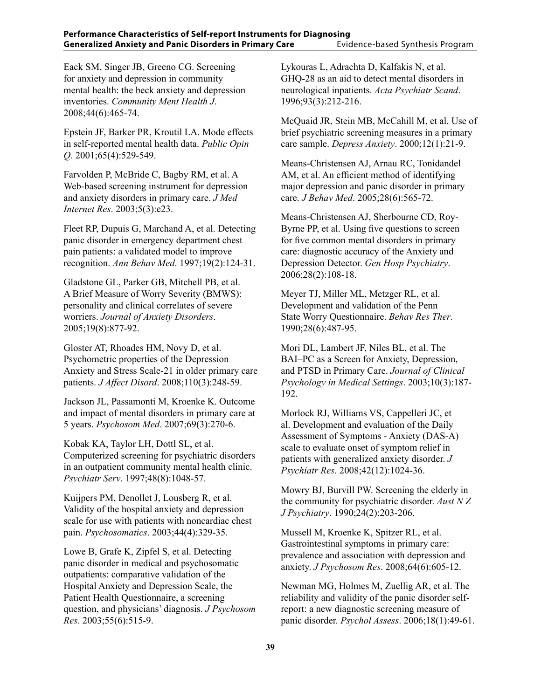Eack SM, Singer JB, Greeno CG. Screening for anxiety and depression in community mental health: the beck anxiety and depression inventories. *Community Ment Health J*. 2008;44(6):465-74.

Epstein JF, Barker PR, Kroutil LA. Mode effects in self-reported mental health data. *Public Opin Q*. 2001;65(4):529-549.

Farvolden P, McBride C, Bagby RM, et al. A Web-based screening instrument for depression and anxiety disorders in primary care. *J Med Internet Res*. 2003;5(3):e23.

Fleet RP, Dupuis G, Marchand A, et al. Detecting panic disorder in emergency department chest pain patients: a validated model to improve recognition. *Ann Behav Med*. 1997;19(2):124-31.

Gladstone GL, Parker GB, Mitchell PB, et al. A Brief Measure of Worry Severity (BMWS): personality and clinical correlates of severe worriers. *Journal of Anxiety Disorders*. 2005;19(8):877-92.

Gloster AT, Rhoades HM, Novy D, et al. Psychometric properties of the Depression Anxiety and Stress Scale-21 in older primary care patients. *J Affect Disord*. 2008;110(3):248-59.

Jackson JL, Passamonti M, Kroenke K. Outcome and impact of mental disorders in primary care at 5 years. *Psychosom Med*. 2007;69(3):270-6.

Kobak KA, Taylor LH, Dottl SL, et al. Computerized screening for psychiatric disorders in an outpatient community mental health clinic. *Psychiatr Serv*. 1997;48(8):1048-57.

Kuijpers PM, Denollet J, Lousberg R, et al. Validity of the hospital anxiety and depression scale for use with patients with noncardiac chest pain. *Psychosomatics*. 2003;44(4):329-35.

Lowe B, Grafe K, Zipfel S, et al. Detecting panic disorder in medical and psychosomatic outpatients: comparative validation of the Hospital Anxiety and Depression Scale, the Patient Health Questionnaire, a screening question, and physicians' diagnosis. *J Psychosom Res*. 2003;55(6):515-9.

Lykouras L, Adrachta D, Kalfakis N, et al. GHQ-28 as an aid to detect mental disorders in neurological inpatients. *Acta Psychiatr Scand*. 1996;93(3):212-216.

McQuaid JR, Stein MB, McCahill M, et al. Use of brief psychiatric screening measures in a primary care sample. *Depress Anxiety*. 2000;12(1):21-9.

Means-Christensen AJ, Arnau RC, Tonidandel AM, et al. An efficient method of identifying major depression and panic disorder in primary care. *J Behav Med*. 2005;28(6):565-72.

Means-Christensen AJ, Sherbourne CD, Roy-Byrne PP, et al. Using five questions to screen for five common mental disorders in primary care: diagnostic accuracy of the Anxiety and Depression Detector. *Gen Hosp Psychiatry*. 2006;28(2):108-18.

Meyer TJ, Miller ML, Metzger RL, et al. Development and validation of the Penn State Worry Questionnaire. *Behav Res Ther*. 1990;28(6):487-95.

Mori DL, Lambert JF, Niles BL, et al. The BAI–PC as a Screen for Anxiety, Depression, and PTSD in Primary Care. *Journal of Clinical Psychology in Medical Settings*. 2003;10(3):187- 192.

Morlock RJ, Williams VS, Cappelleri JC, et al. Development and evaluation of the Daily Assessment of Symptoms - Anxiety (DAS-A) scale to evaluate onset of symptom relief in patients with generalized anxiety disorder. *J Psychiatr Res*. 2008;42(12):1024-36.

Mowry BJ, Burvill PW. Screening the elderly in the community for psychiatric disorder. *Aust N Z J Psychiatry*. 1990;24(2):203-206.

Mussell M, Kroenke K, Spitzer RL, et al. Gastrointestinal symptoms in primary care: prevalence and association with depression and anxiety. *J Psychosom Res*. 2008;64(6):605-12.

Newman MG, Holmes M, Zuellig AR, et al. The reliability and validity of the panic disorder selfreport: a new diagnostic screening measure of panic disorder. *Psychol Assess*. 2006;18(1):49-61.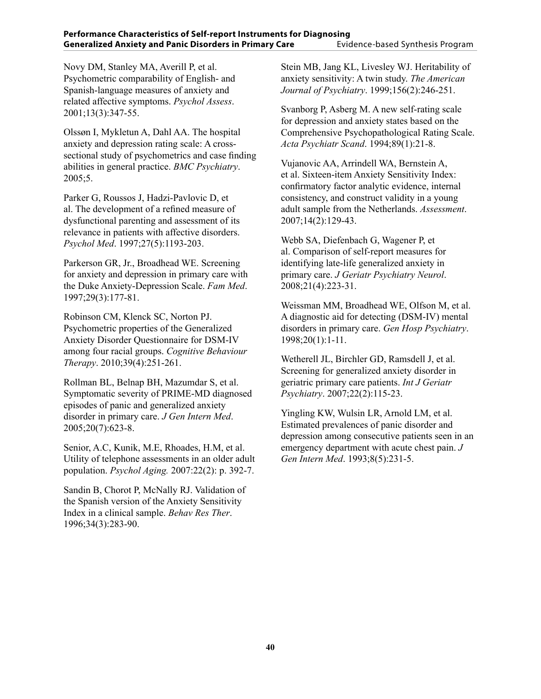Novy DM, Stanley MA, Averill P, et al. Psychometric comparability of English- and Spanish-language measures of anxiety and related affective symptoms. *Psychol Assess*. 2001;13(3):347-55.

Olssøn I, Mykletun A, Dahl AA. The hospital anxiety and depression rating scale: A crosssectional study of psychometrics and case finding abilities in general practice. *BMC Psychiatry*. 2005;5.

Parker G, Roussos J, Hadzi-Pavlovic D, et al. The development of a refined measure of dysfunctional parenting and assessment of its relevance in patients with affective disorders. *Psychol Med*. 1997;27(5):1193-203.

Parkerson GR, Jr., Broadhead WE. Screening for anxiety and depression in primary care with the Duke Anxiety-Depression Scale. *Fam Med*. 1997;29(3):177-81.

Robinson CM, Klenck SC, Norton PJ. Psychometric properties of the Generalized Anxiety Disorder Questionnaire for DSM-IV among four racial groups. *Cognitive Behaviour Therapy*. 2010;39(4):251-261.

Rollman BL, Belnap BH, Mazumdar S, et al. Symptomatic severity of PRIME-MD diagnosed episodes of panic and generalized anxiety disorder in primary care. *J Gen Intern Med*. 2005;20(7):623-8.

Senior, A.C, Kunik, M.E, Rhoades, H.M, et al. Utility of telephone assessments in an older adult population. *Psychol Aging.* 2007:22(2): p. 392-7.

Sandin B, Chorot P, McNally RJ. Validation of the Spanish version of the Anxiety Sensitivity Index in a clinical sample. *Behav Res Ther*. 1996;34(3):283-90.

Stein MB, Jang KL, Livesley WJ. Heritability of anxiety sensitivity: A twin study. *The American Journal of Psychiatry*. 1999;156(2):246-251.

Svanborg P, Asberg M. A new self-rating scale for depression and anxiety states based on the Comprehensive Psychopathological Rating Scale. *Acta Psychiatr Scand*. 1994;89(1):21-8.

Vujanovic AA, Arrindell WA, Bernstein A, et al. Sixteen-item Anxiety Sensitivity Index: confirmatory factor analytic evidence, internal consistency, and construct validity in a young adult sample from the Netherlands. *Assessment*. 2007;14(2):129-43.

Webb SA, Diefenbach G, Wagener P, et al. Comparison of self-report measures for identifying late-life generalized anxiety in primary care. *J Geriatr Psychiatry Neurol*. 2008;21(4):223-31.

Weissman MM, Broadhead WE, Olfson M, et al. A diagnostic aid for detecting (DSM-IV) mental disorders in primary care. *Gen Hosp Psychiatry*. 1998;20(1):1-11.

Wetherell JL, Birchler GD, Ramsdell J, et al. Screening for generalized anxiety disorder in geriatric primary care patients. *Int J Geriatr Psychiatry*. 2007;22(2):115-23.

Yingling KW, Wulsin LR, Arnold LM, et al. Estimated prevalences of panic disorder and depression among consecutive patients seen in an emergency department with acute chest pain. *J Gen Intern Med*. 1993;8(5):231-5.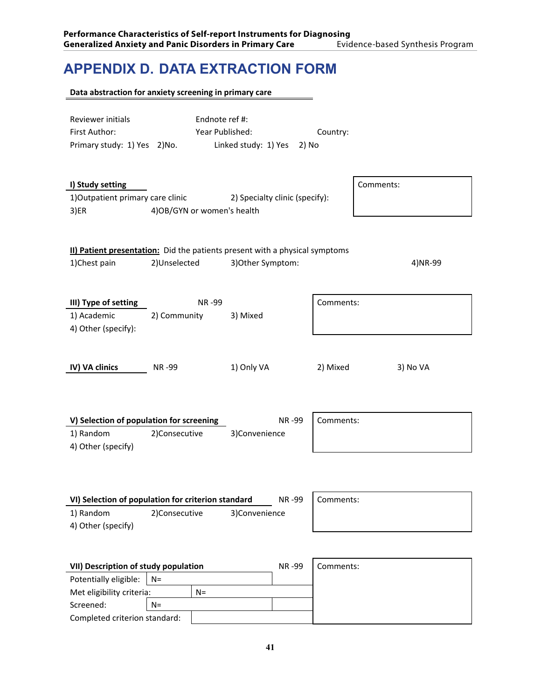# **APPENDIX D. Data Extraction Form**

|                                                                                                                                          | Data abstraction for anxiety screening in primary care |                                                                                                  |           |           |
|------------------------------------------------------------------------------------------------------------------------------------------|--------------------------------------------------------|--------------------------------------------------------------------------------------------------|-----------|-----------|
| Reviewer initials<br>First Author:<br>Primary study: 1) Yes 2) No.                                                                       | Endnote ref #:<br>Year Published:                      | Linked study: 1) Yes<br>2) No                                                                    | Country:  |           |
| I) Study setting<br>1) Outpatient primary care clinic<br>3)ER                                                                            | 4) OB/ GYN or women's health                           | 2) Specialty clinic (specify):                                                                   |           | Comments: |
| 1)Chest pain                                                                                                                             | 2)Unselected                                           | II) Patient presentation: Did the patients present with a physical symptoms<br>3) Other Symptom: |           | 4) NR-99  |
| III) Type of setting<br>1) Academic<br>4) Other (specify):                                                                               | NR-99<br>2) Community                                  | 3) Mixed                                                                                         | Comments: |           |
| IV) VA clinics                                                                                                                           | <b>NR-99</b>                                           | 1) Only VA                                                                                       | 2) Mixed  | 3) No VA  |
| V) Selection of population for screening<br>1) Random<br>4) Other (specify)                                                              | 2)Consecutive                                          | NR-99<br>3)Convenience                                                                           | Comments: |           |
| VI) Selection of population for criterion standard<br>1) Random<br>4) Other (specify)                                                    | 2)Consecutive                                          | NR-99<br>3)Convenience                                                                           | Comments: |           |
| VII) Description of study population<br>Potentially eligible:<br>Met eligibility criteria:<br>Screened:<br>Completed criterion standard: | $N =$<br>$N =$<br>$N =$                                | NR-99                                                                                            | Comments: |           |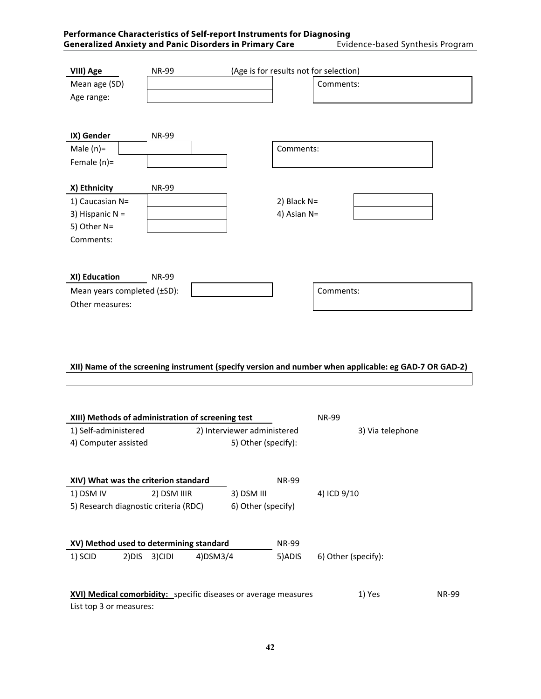| Performance Characteristics of Self-report Instruments for Diagnosing |                                  |
|-----------------------------------------------------------------------|----------------------------------|
| Generalized Anxiety and Panic Disorders in Primary Care               | Evidence-based Synthesis Program |

| VIII) Age<br>Mean age (SD)<br>Age range:                                         | <b>NR-99</b> | (Age is for results not for selection)<br>Comments: |
|----------------------------------------------------------------------------------|--------------|-----------------------------------------------------|
| IX) Gender<br>Male $(n)$ =<br>Female $(n)$ =                                     | <b>NR-99</b> | Comments:                                           |
| X) Ethnicity<br>1) Caucasian N=<br>3) Hispanic $N =$<br>5) Other N=<br>Comments: | <b>NR-99</b> | 2) Black $N=$<br>4) Asian N=                        |
| XI) Education<br>Mean years completed (±SD):<br>Other measures:                  | <b>NR-99</b> | Comments:                                           |

#### XII) Name of the screening instrument (specify version and number when applicable: eg GAD-7 OR GAD-2)

the contract of the contract of the contract of the contract of the contract of the contract of the contract of

| XIII) Methods of administration of screening test                                                                    |                             | <b>NR-99</b> |                     |  |  |  |
|----------------------------------------------------------------------------------------------------------------------|-----------------------------|--------------|---------------------|--|--|--|
| 1) Self-administered                                                                                                 | 2) Interviewer administered |              | 3) Via telephone    |  |  |  |
| 4) Computer assisted                                                                                                 | 5) Other (specify):         |              |                     |  |  |  |
|                                                                                                                      |                             |              |                     |  |  |  |
| XIV) What was the criterion standard                                                                                 |                             | <b>NR-99</b> |                     |  |  |  |
| 1) DSM IV<br>2) DSM IIIR                                                                                             | 3) DSM III                  |              | 4) ICD 9/10         |  |  |  |
| 5) Research diagnostic criteria (RDC)<br>6) Other (specify)                                                          |                             |              |                     |  |  |  |
| XV) Method used to determining standard                                                                              |                             | <b>NR-99</b> |                     |  |  |  |
| 3)CIDI<br>1) SCID<br>2)DIS                                                                                           | $4)$ DSM3/4                 | 5) ADIS      | 6) Other (specify): |  |  |  |
|                                                                                                                      |                             |              |                     |  |  |  |
| XVI) Medical comorbidity: specific diseases or average measures<br>1) Yes<br><b>NR-99</b><br>List top 3 or measures: |                             |              |                     |  |  |  |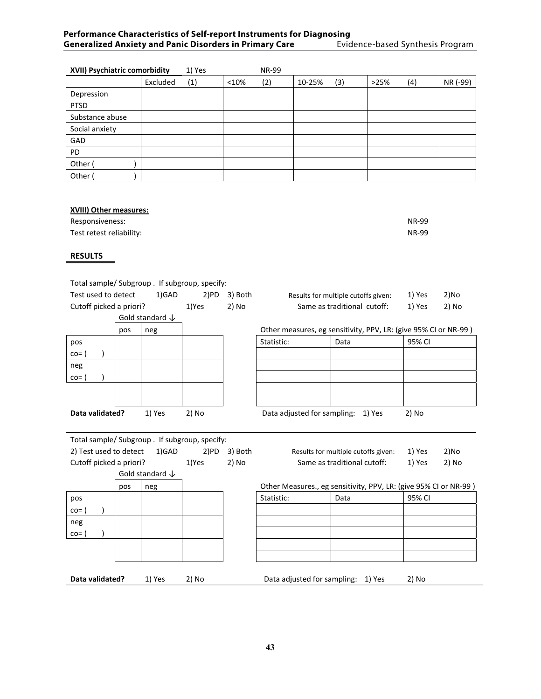| XVII) Psychiatric comorbidity |          | 1) Yes |       | <b>NR-99</b> |        |     |      |     |          |
|-------------------------------|----------|--------|-------|--------------|--------|-----|------|-----|----------|
|                               | Excluded | (1)    | < 10% | (2)          | 10-25% | (3) | >25% | (4) | NR (-99) |
| Depression                    |          |        |       |              |        |     |      |     |          |
| <b>PTSD</b>                   |          |        |       |              |        |     |      |     |          |
| Substance abuse               |          |        |       |              |        |     |      |     |          |
| Social anxiety                |          |        |       |              |        |     |      |     |          |
| GAD                           |          |        |       |              |        |     |      |     |          |
| PD                            |          |        |       |              |        |     |      |     |          |
| Other (                       |          |        |       |              |        |     |      |     |          |
| Other (                       |          |        |       |              |        |     |      |     |          |

#### **XVIII) Other measures:**

| Responsiveness:          | <b>NR-99</b> |
|--------------------------|--------------|
| Test retest reliability: | <b>NR-99</b> |

#### **RESULTS**

Total sample/ Subgroup . If subgroup, specify: Test used to detect  $1)$ GAD 2)PD 3) Both Results for multiple cutoffs given: 1) Yes 2)No Cutoff picked a priori? 1)Yes 2) No



| Results for multiple cutons given. | <b>LIICJ</b> | <u>211 V V</u> |
|------------------------------------|--------------|----------------|
| Same as traditional cutoff:        | 1) Yes       | 2) No          |
|                                    |              |                |

pos neg Other measures, eg sensitivity, PPV, LR: (give 95% CI or NR‐99 )

| pos                    |        |         | Statistic:                         | Data | 95% CI |
|------------------------|--------|---------|------------------------------------|------|--------|
| $\cos$                 |        |         |                                    |      |        |
| neg                    |        |         |                                    |      |        |
| $\cos$                 |        |         |                                    |      |        |
|                        |        |         |                                    |      |        |
|                        |        |         |                                    |      |        |
| <b>Data validated?</b> | 1) Yes | $2)$ No | Data adjusted for sampling: 1) Yes |      | 2) No  |

Total sample/ Subgroup . If subgroup, specify: 2) Test used to detect 1)GAD 2)PD 3) Both Results for multiple cutoffs given: 1) Yes 2)No Cutoff picked a priori? 1)Yes 2) No Same as traditional cutoff: 1) Yes 2) No Gold standard ↓

pos neg Other Measures., eg sensitivity, PPV, LR: (give 95% CI or NR‐99 ) pos Statistic: Data 95% CI co= ( ) neg co= ( ) **Data validated?** 1) Yes 2) No **Data adjusted for sampling:** 1) Yes 2) No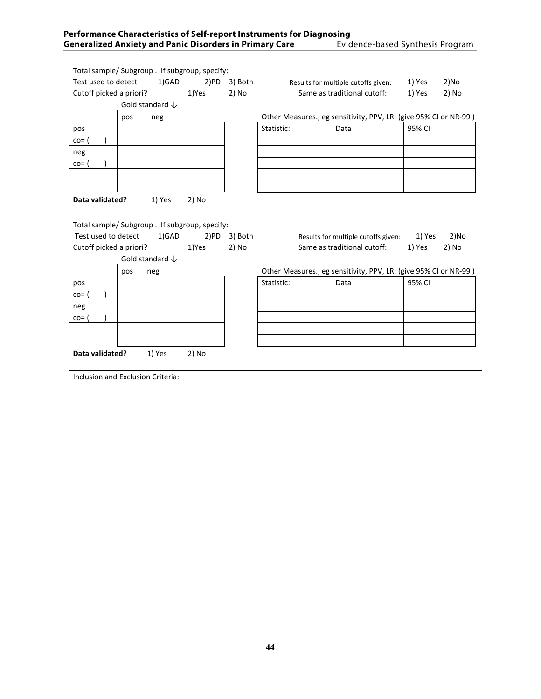| Performance Characteristics of Self-report Instruments for Diagnosing |                                  |  |  |  |  |
|-----------------------------------------------------------------------|----------------------------------|--|--|--|--|
| <b>Generalized Anxiety and Panic Disorders in Primary Care</b>        | Evidence-based Synthesis Program |  |  |  |  |

| Total sample/ Subgroup . If subgroup, specify: |     |                            |         |                                     |                                                |        |                                                                  |        |       |
|------------------------------------------------|-----|----------------------------|---------|-------------------------------------|------------------------------------------------|--------|------------------------------------------------------------------|--------|-------|
| Test used to detect<br>1)GAD                   |     | 2)PD                       | 3) Both | Results for multiple cutoffs given: |                                                | 1) Yes | 2)No                                                             |        |       |
| Cutoff picked a priori?                        |     |                            | 1)Yes   | 2) No                               |                                                |        | Same as traditional cutoff:                                      | 1) Yes | 2) No |
|                                                |     | Gold standard $\downarrow$ |         |                                     |                                                |        |                                                                  |        |       |
|                                                | pos | neg                        |         |                                     |                                                |        | Other Measures., eg sensitivity, PPV, LR: (give 95% CI or NR-99) |        |       |
| pos                                            |     |                            |         |                                     | Statistic:                                     |        | Data                                                             | 95% CI |       |
| $\text{co}$                                    |     |                            |         |                                     |                                                |        |                                                                  |        |       |
| neg                                            |     |                            |         |                                     |                                                |        |                                                                  |        |       |
| $\cos$                                         |     |                            |         |                                     |                                                |        |                                                                  |        |       |
|                                                |     |                            |         |                                     |                                                |        |                                                                  |        |       |
|                                                |     |                            |         |                                     |                                                |        |                                                                  |        |       |
| Data validated?<br>1) Yes                      |     | 2) No                      |         |                                     |                                                |        |                                                                  |        |       |
|                                                |     |                            |         |                                     |                                                |        |                                                                  |        |       |
| Total sample/ Subgroup . If subgroup, specify: |     |                            |         |                                     |                                                |        |                                                                  |        |       |
| Test used to detect                            |     | 1)GAD                      | 2)PD    | 3) Both                             |                                                |        | Results for multiple cutoffs given:                              | 1) Yes | 2)No  |
| Cutoff picked a priori?                        |     |                            | 1)Yes   | 2) No                               | Same as traditional cutoff:<br>1) Yes<br>2) No |        |                                                                  |        |       |
|                                                |     | Gold standard $\downarrow$ |         |                                     |                                                |        |                                                                  |        |       |
|                                                | pos | neg                        |         |                                     |                                                |        | Other Measures., eg sensitivity, PPV, LR: (give 95% CI or NR-99) |        |       |
| pos                                            |     |                            |         |                                     | Statistic:                                     |        | Data                                                             | 95% CI |       |
| $\text{CO} =$                                  |     |                            |         |                                     |                                                |        |                                                                  |        |       |
| neg                                            |     |                            |         |                                     |                                                |        |                                                                  |        |       |
|                                                |     |                            |         |                                     |                                                |        |                                                                  |        |       |
| $\cos$                                         |     |                            |         |                                     |                                                |        |                                                                  |        |       |

Inclusion and Exclusion Criteria:

**Data validated?** 1) Yes 2) No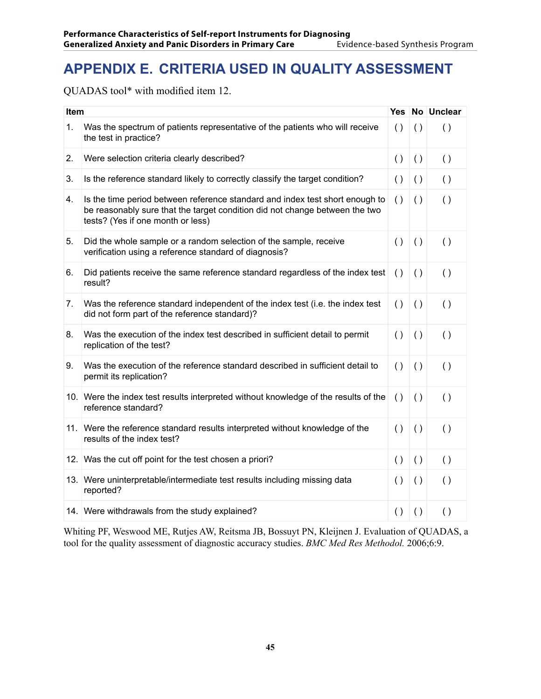# **APPENDIX E. Criteria Used in Quality Assessment**

QUADAS tool\* with modified item 12.

| Item |                                                                                                                                                                                                  |                    |                    | Yes No Unclear     |
|------|--------------------------------------------------------------------------------------------------------------------------------------------------------------------------------------------------|--------------------|--------------------|--------------------|
| 1.   | Was the spectrum of patients representative of the patients who will receive<br>the test in practice?                                                                                            | $\left( \ \right)$ | $\left( \ \right)$ | ( )                |
| 2.   | Were selection criteria clearly described?                                                                                                                                                       | $\left( \ \right)$ | $\left( \ \right)$ | ( )                |
| 3.   | Is the reference standard likely to correctly classify the target condition?                                                                                                                     | $\left( \ \right)$ | $\left( \ \right)$ | $\left( \ \right)$ |
| 4.   | Is the time period between reference standard and index test short enough to<br>be reasonably sure that the target condition did not change between the two<br>tests? (Yes if one month or less) | $\left( \ \right)$ | $\left( \ \right)$ | $\left( \ \right)$ |
| 5.   | Did the whole sample or a random selection of the sample, receive<br>verification using a reference standard of diagnosis?                                                                       | ( )                | $\left( \ \right)$ | ( )                |
| 6.   | Did patients receive the same reference standard regardless of the index test<br>result?                                                                                                         | $\left( \ \right)$ | $\left( \ \right)$ | ( )                |
| 7.   | Was the reference standard independent of the index test (i.e. the index test<br>did not form part of the reference standard)?                                                                   | ( )                | ( )                | ( )                |
| 8.   | Was the execution of the index test described in sufficient detail to permit<br>replication of the test?                                                                                         | ( )                | $\left( \ \right)$ | $\left( \ \right)$ |
| 9.   | Was the execution of the reference standard described in sufficient detail to<br>permit its replication?                                                                                         | $\left( \ \right)$ | $\left( \ \right)$ | ( )                |
|      | 10. Were the index test results interpreted without knowledge of the results of the<br>reference standard?                                                                                       | $\left( \ \right)$ | $\left( \ \right)$ | $\left( \ \right)$ |
|      | 11. Were the reference standard results interpreted without knowledge of the<br>results of the index test?                                                                                       | $\left( \ \right)$ | $\left( \ \right)$ | ( )                |
|      | 12. Was the cut off point for the test chosen a priori?                                                                                                                                          | ( )                | $\left( \ \right)$ | ( )                |
|      | 13. Were uninterpretable/intermediate test results including missing data<br>reported?                                                                                                           | ( )                | $\left( \ \right)$ | ( )                |
|      | 14. Were withdrawals from the study explained?                                                                                                                                                   | ( )                | ( )                | ( )                |

Whiting PF, Weswood ME, Rutjes AW, Reitsma JB, Bossuyt PN, Kleijnen J. Evaluation of QUADAS, a tool for the quality assessment of diagnostic accuracy studies. *BMC Med Res Methodol.* 2006;6:9.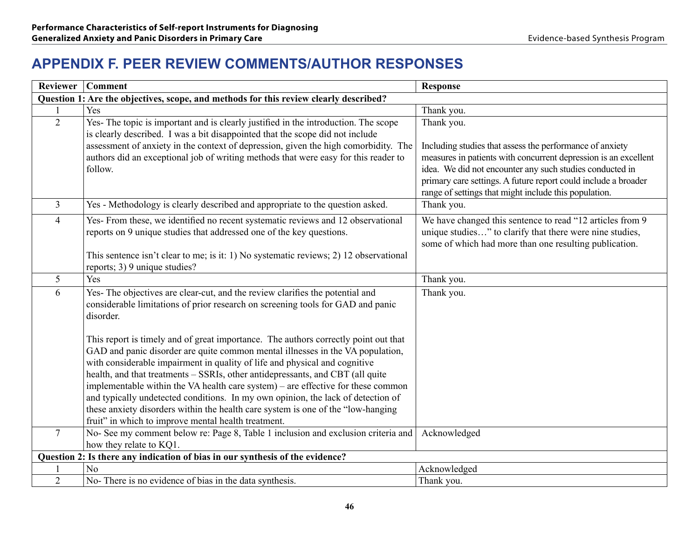## **APPENDIX F. Peer Review Comments/Author Responses**

| <b>Reviewer</b>                                                                       | <b>Comment</b>                                                                                                                                                                                                                                                                                                                                                                                                                                                                                                                                                                                                                                           | <b>Response</b>                                                                                                                                                                                                                                                         |  |  |  |  |
|---------------------------------------------------------------------------------------|----------------------------------------------------------------------------------------------------------------------------------------------------------------------------------------------------------------------------------------------------------------------------------------------------------------------------------------------------------------------------------------------------------------------------------------------------------------------------------------------------------------------------------------------------------------------------------------------------------------------------------------------------------|-------------------------------------------------------------------------------------------------------------------------------------------------------------------------------------------------------------------------------------------------------------------------|--|--|--|--|
| Question 1: Are the objectives, scope, and methods for this review clearly described? |                                                                                                                                                                                                                                                                                                                                                                                                                                                                                                                                                                                                                                                          |                                                                                                                                                                                                                                                                         |  |  |  |  |
|                                                                                       | Yes                                                                                                                                                                                                                                                                                                                                                                                                                                                                                                                                                                                                                                                      | Thank you.                                                                                                                                                                                                                                                              |  |  |  |  |
| $\overline{2}$                                                                        | Yes- The topic is important and is clearly justified in the introduction. The scope<br>is clearly described. I was a bit disappointed that the scope did not include<br>assessment of anxiety in the context of depression, given the high comorbidity. The<br>authors did an exceptional job of writing methods that were easy for this reader to<br>follow.                                                                                                                                                                                                                                                                                            | Thank you.<br>Including studies that assess the performance of anxiety<br>measures in patients with concurrent depression is an excellent<br>idea. We did not encounter any such studies conducted in<br>primary care settings. A future report could include a broader |  |  |  |  |
|                                                                                       |                                                                                                                                                                                                                                                                                                                                                                                                                                                                                                                                                                                                                                                          | range of settings that might include this population.                                                                                                                                                                                                                   |  |  |  |  |
| $\overline{3}$                                                                        | Yes - Methodology is clearly described and appropriate to the question asked.                                                                                                                                                                                                                                                                                                                                                                                                                                                                                                                                                                            | Thank you.                                                                                                                                                                                                                                                              |  |  |  |  |
| $\overline{4}$                                                                        | Yes- From these, we identified no recent systematic reviews and 12 observational<br>reports on 9 unique studies that addressed one of the key questions.<br>This sentence isn't clear to me; is it: 1) No systematic reviews; 2) 12 observational<br>reports; 3) 9 unique studies?                                                                                                                                                                                                                                                                                                                                                                       | We have changed this sentence to read "12 articles from 9<br>unique studies" to clarify that there were nine studies,<br>some of which had more than one resulting publication.                                                                                         |  |  |  |  |
| 5                                                                                     | Yes                                                                                                                                                                                                                                                                                                                                                                                                                                                                                                                                                                                                                                                      | Thank you.                                                                                                                                                                                                                                                              |  |  |  |  |
| 6                                                                                     | Yes- The objectives are clear-cut, and the review clarifies the potential and<br>considerable limitations of prior research on screening tools for GAD and panic<br>disorder.                                                                                                                                                                                                                                                                                                                                                                                                                                                                            | Thank you.                                                                                                                                                                                                                                                              |  |  |  |  |
|                                                                                       | This report is timely and of great importance. The authors correctly point out that<br>GAD and panic disorder are quite common mental illnesses in the VA population,<br>with considerable impairment in quality of life and physical and cognitive<br>health, and that treatments - SSRIs, other antidepressants, and CBT (all quite<br>implementable within the VA health care system) – are effective for these common<br>and typically undetected conditions. In my own opinion, the lack of detection of<br>these anxiety disorders within the health care system is one of the "low-hanging<br>fruit" in which to improve mental health treatment. |                                                                                                                                                                                                                                                                         |  |  |  |  |
| $7\overline{ }$                                                                       | No- See my comment below re: Page 8, Table 1 inclusion and exclusion criteria and                                                                                                                                                                                                                                                                                                                                                                                                                                                                                                                                                                        | Acknowledged                                                                                                                                                                                                                                                            |  |  |  |  |
|                                                                                       | how they relate to KQ1.<br>Question 2: Is there any indication of bias in our synthesis of the evidence?                                                                                                                                                                                                                                                                                                                                                                                                                                                                                                                                                 |                                                                                                                                                                                                                                                                         |  |  |  |  |
|                                                                                       | N <sub>0</sub>                                                                                                                                                                                                                                                                                                                                                                                                                                                                                                                                                                                                                                           | Acknowledged                                                                                                                                                                                                                                                            |  |  |  |  |
| 2                                                                                     | No- There is no evidence of bias in the data synthesis.                                                                                                                                                                                                                                                                                                                                                                                                                                                                                                                                                                                                  | Thank you.                                                                                                                                                                                                                                                              |  |  |  |  |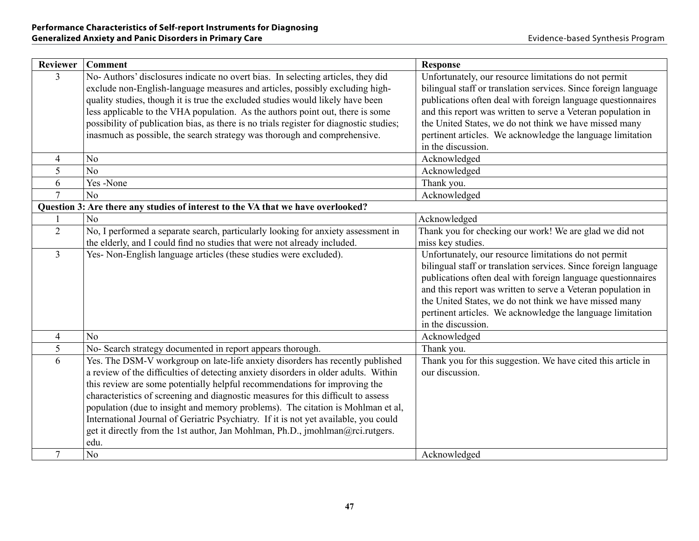| <b>Reviewer</b> | <b>Comment</b>                                                                                                                                                                                                                                                                                                                                                                                                                                                                                                                                                                                                | <b>Response</b>                                                                                                                                                                                                                                                                                                                                                                                        |
|-----------------|---------------------------------------------------------------------------------------------------------------------------------------------------------------------------------------------------------------------------------------------------------------------------------------------------------------------------------------------------------------------------------------------------------------------------------------------------------------------------------------------------------------------------------------------------------------------------------------------------------------|--------------------------------------------------------------------------------------------------------------------------------------------------------------------------------------------------------------------------------------------------------------------------------------------------------------------------------------------------------------------------------------------------------|
| $\overline{3}$  | No-Authors' disclosures indicate no overt bias. In selecting articles, they did<br>exclude non-English-language measures and articles, possibly excluding high-<br>quality studies, though it is true the excluded studies would likely have been<br>less applicable to the VHA population. As the authors point out, there is some<br>possibility of publication bias, as there is no trials register for diagnostic studies;<br>inasmuch as possible, the search strategy was thorough and comprehensive.                                                                                                   | Unfortunately, our resource limitations do not permit<br>bilingual staff or translation services. Since foreign language<br>publications often deal with foreign language questionnaires<br>and this report was written to serve a Veteran population in<br>the United States, we do not think we have missed many<br>pertinent articles. We acknowledge the language limitation<br>in the discussion. |
| $\overline{4}$  | N <sub>0</sub>                                                                                                                                                                                                                                                                                                                                                                                                                                                                                                                                                                                                | Acknowledged                                                                                                                                                                                                                                                                                                                                                                                           |
| 5               | N <sub>0</sub>                                                                                                                                                                                                                                                                                                                                                                                                                                                                                                                                                                                                | Acknowledged                                                                                                                                                                                                                                                                                                                                                                                           |
| 6               | Yes-None                                                                                                                                                                                                                                                                                                                                                                                                                                                                                                                                                                                                      | Thank you.                                                                                                                                                                                                                                                                                                                                                                                             |
| $\overline{7}$  | No                                                                                                                                                                                                                                                                                                                                                                                                                                                                                                                                                                                                            | Acknowledged                                                                                                                                                                                                                                                                                                                                                                                           |
|                 | Question 3: Are there any studies of interest to the VA that we have overlooked?                                                                                                                                                                                                                                                                                                                                                                                                                                                                                                                              |                                                                                                                                                                                                                                                                                                                                                                                                        |
|                 | N <sub>0</sub>                                                                                                                                                                                                                                                                                                                                                                                                                                                                                                                                                                                                | Acknowledged                                                                                                                                                                                                                                                                                                                                                                                           |
| $\overline{2}$  | No, I performed a separate search, particularly looking for anxiety assessment in<br>the elderly, and I could find no studies that were not already included.                                                                                                                                                                                                                                                                                                                                                                                                                                                 | Thank you for checking our work! We are glad we did not<br>miss key studies.                                                                                                                                                                                                                                                                                                                           |
| $\overline{3}$  | Yes- Non-English language articles (these studies were excluded).                                                                                                                                                                                                                                                                                                                                                                                                                                                                                                                                             | Unfortunately, our resource limitations do not permit<br>bilingual staff or translation services. Since foreign language<br>publications often deal with foreign language questionnaires<br>and this report was written to serve a Veteran population in<br>the United States, we do not think we have missed many<br>pertinent articles. We acknowledge the language limitation<br>in the discussion. |
| $\overline{4}$  | N <sub>0</sub>                                                                                                                                                                                                                                                                                                                                                                                                                                                                                                                                                                                                | Acknowledged                                                                                                                                                                                                                                                                                                                                                                                           |
| 5               | No- Search strategy documented in report appears thorough.                                                                                                                                                                                                                                                                                                                                                                                                                                                                                                                                                    | Thank you.                                                                                                                                                                                                                                                                                                                                                                                             |
| 6               | Yes. The DSM-V workgroup on late-life anxiety disorders has recently published<br>a review of the difficulties of detecting anxiety disorders in older adults. Within<br>this review are some potentially helpful recommendations for improving the<br>characteristics of screening and diagnostic measures for this difficult to assess<br>population (due to insight and memory problems). The citation is Mohlman et al,<br>International Journal of Geriatric Psychiatry. If it is not yet available, you could<br>get it directly from the 1st author, Jan Mohlman, Ph.D., jmohlman@rci.rutgers.<br>edu. | Thank you for this suggestion. We have cited this article in<br>our discussion.                                                                                                                                                                                                                                                                                                                        |
| $\overline{7}$  | N <sub>0</sub>                                                                                                                                                                                                                                                                                                                                                                                                                                                                                                                                                                                                | Acknowledged                                                                                                                                                                                                                                                                                                                                                                                           |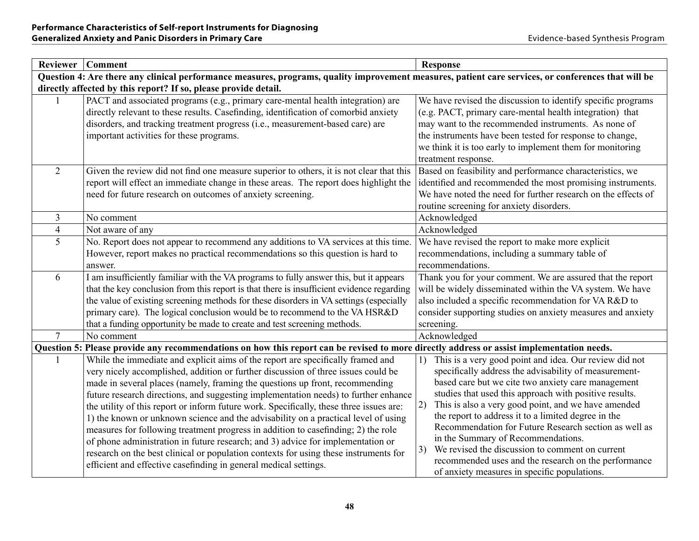| <b>Reviewer</b> | <b>Comment</b>                                                                                                                                                                                                                                                                                                                                                                                                                                                                                                                                                                                                                                                                                                                                                                                                                                                   | <b>Response</b>                                                                                                                                                                                                                                                                                                                                                                                                                                                                                                                                                                                                           |  |  |
|-----------------|------------------------------------------------------------------------------------------------------------------------------------------------------------------------------------------------------------------------------------------------------------------------------------------------------------------------------------------------------------------------------------------------------------------------------------------------------------------------------------------------------------------------------------------------------------------------------------------------------------------------------------------------------------------------------------------------------------------------------------------------------------------------------------------------------------------------------------------------------------------|---------------------------------------------------------------------------------------------------------------------------------------------------------------------------------------------------------------------------------------------------------------------------------------------------------------------------------------------------------------------------------------------------------------------------------------------------------------------------------------------------------------------------------------------------------------------------------------------------------------------------|--|--|
|                 | Question 4: Are there any clinical performance measures, programs, quality improvement measures, patient care services, or conferences that will be                                                                                                                                                                                                                                                                                                                                                                                                                                                                                                                                                                                                                                                                                                              |                                                                                                                                                                                                                                                                                                                                                                                                                                                                                                                                                                                                                           |  |  |
|                 | directly affected by this report? If so, please provide detail.                                                                                                                                                                                                                                                                                                                                                                                                                                                                                                                                                                                                                                                                                                                                                                                                  |                                                                                                                                                                                                                                                                                                                                                                                                                                                                                                                                                                                                                           |  |  |
|                 | PACT and associated programs (e.g., primary care-mental health integration) are<br>directly relevant to these results. Casefinding, identification of comorbid anxiety<br>disorders, and tracking treatment progress (i.e., measurement-based care) are<br>important activities for these programs.                                                                                                                                                                                                                                                                                                                                                                                                                                                                                                                                                              | We have revised the discussion to identify specific programs<br>(e.g. PACT, primary care-mental health integration) that<br>may want to the recommended instruments. As none of<br>the instruments have been tested for response to change,<br>we think it is too early to implement them for monitoring<br>treatment response.                                                                                                                                                                                                                                                                                           |  |  |
| $\overline{2}$  | Given the review did not find one measure superior to others, it is not clear that this<br>report will effect an immediate change in these areas. The report does highlight the<br>need for future research on outcomes of anxiety screening.                                                                                                                                                                                                                                                                                                                                                                                                                                                                                                                                                                                                                    | Based on feasibility and performance characteristics, we<br>identified and recommended the most promising instruments.<br>We have noted the need for further research on the effects of<br>routine screening for anxiety disorders.                                                                                                                                                                                                                                                                                                                                                                                       |  |  |
| $\overline{3}$  | No comment                                                                                                                                                                                                                                                                                                                                                                                                                                                                                                                                                                                                                                                                                                                                                                                                                                                       | Acknowledged                                                                                                                                                                                                                                                                                                                                                                                                                                                                                                                                                                                                              |  |  |
| $\overline{4}$  | Not aware of any                                                                                                                                                                                                                                                                                                                                                                                                                                                                                                                                                                                                                                                                                                                                                                                                                                                 | Acknowledged                                                                                                                                                                                                                                                                                                                                                                                                                                                                                                                                                                                                              |  |  |
| 5               | No. Report does not appear to recommend any additions to VA services at this time.<br>However, report makes no practical recommendations so this question is hard to<br>answer.                                                                                                                                                                                                                                                                                                                                                                                                                                                                                                                                                                                                                                                                                  | We have revised the report to make more explicit<br>recommendations, including a summary table of<br>recommendations.                                                                                                                                                                                                                                                                                                                                                                                                                                                                                                     |  |  |
| 6               | I am insufficiently familiar with the VA programs to fully answer this, but it appears<br>that the key conclusion from this report is that there is insufficient evidence regarding<br>the value of existing screening methods for these disorders in VA settings (especially<br>primary care). The logical conclusion would be to recommend to the VA HSR&D<br>that a funding opportunity be made to create and test screening methods.                                                                                                                                                                                                                                                                                                                                                                                                                         | Thank you for your comment. We are assured that the report<br>will be widely disseminated within the VA system. We have<br>also included a specific recommendation for VA R&D to<br>consider supporting studies on anxiety measures and anxiety<br>screening.                                                                                                                                                                                                                                                                                                                                                             |  |  |
| $\overline{7}$  | No comment                                                                                                                                                                                                                                                                                                                                                                                                                                                                                                                                                                                                                                                                                                                                                                                                                                                       | Acknowledged                                                                                                                                                                                                                                                                                                                                                                                                                                                                                                                                                                                                              |  |  |
|                 | Question 5: Please provide any recommendations on how this report can be revised to more directly address or assist implementation needs.                                                                                                                                                                                                                                                                                                                                                                                                                                                                                                                                                                                                                                                                                                                        |                                                                                                                                                                                                                                                                                                                                                                                                                                                                                                                                                                                                                           |  |  |
|                 | While the immediate and explicit aims of the report are specifically framed and<br>very nicely accomplished, addition or further discussion of three issues could be<br>made in several places (namely, framing the questions up front, recommending<br>future research directions, and suggesting implementation needs) to further enhance<br>the utility of this report or inform future work. Specifically, these three issues are:<br>1) the known or unknown science and the advisability on a practical level of using<br>measures for following treatment progress in addition to casefinding; 2) the role<br>of phone administration in future research; and 3) advice for implementation or<br>research on the best clinical or population contexts for using these instruments for<br>efficient and effective casefinding in general medical settings. | This is a very good point and idea. Our review did not<br>1)<br>specifically address the advisability of measurement-<br>based care but we cite two anxiety care management<br>studies that used this approach with positive results.<br>This is also a very good point, and we have amended<br>2)<br>the report to address it to a limited degree in the<br>Recommendation for Future Research section as well as<br>in the Summary of Recommendations.<br>We revised the discussion to comment on current<br>3)<br>recommended uses and the research on the performance<br>of anxiety measures in specific populations. |  |  |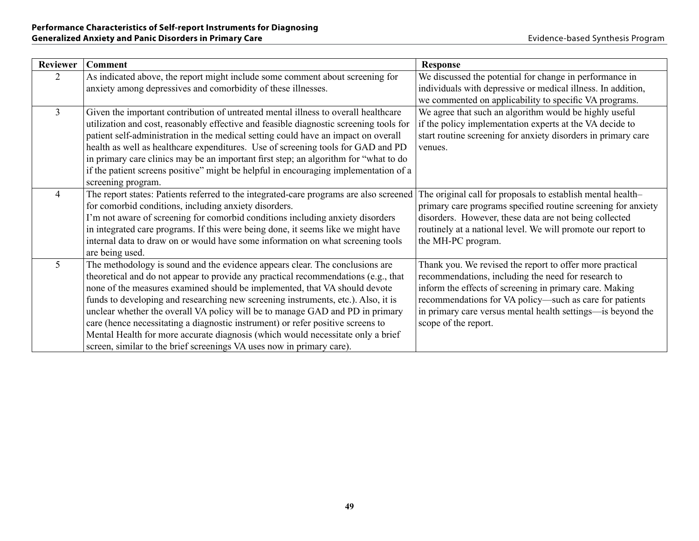| <b>Reviewer</b> | <b>Comment</b>                                                                         | <b>Response</b>                                               |
|-----------------|----------------------------------------------------------------------------------------|---------------------------------------------------------------|
| $\overline{2}$  | As indicated above, the report might include some comment about screening for          | We discussed the potential for change in performance in       |
|                 | anxiety among depressives and comorbidity of these illnesses.                          | individuals with depressive or medical illness. In addition,  |
|                 |                                                                                        | we commented on applicability to specific VA programs.        |
| $\overline{3}$  | Given the important contribution of untreated mental illness to overall healthcare     | We agree that such an algorithm would be highly useful        |
|                 | utilization and cost, reasonably effective and feasible diagnostic screening tools for | if the policy implementation experts at the VA decide to      |
|                 | patient self-administration in the medical setting could have an impact on overall     | start routine screening for anxiety disorders in primary care |
|                 | health as well as healthcare expenditures. Use of screening tools for GAD and PD       | venues.                                                       |
|                 | in primary care clinics may be an important first step; an algorithm for "what to do   |                                                               |
|                 | if the patient screens positive" might be helpful in encouraging implementation of a   |                                                               |
|                 | screening program.                                                                     |                                                               |
| $\overline{4}$  | The report states: Patients referred to the integrated-care programs are also screened | The original call for proposals to establish mental health-   |
|                 | for comorbid conditions, including anxiety disorders.                                  | primary care programs specified routine screening for anxiety |
|                 | I'm not aware of screening for comorbid conditions including anxiety disorders         | disorders. However, these data are not being collected        |
|                 | in integrated care programs. If this were being done, it seems like we might have      | routinely at a national level. We will promote our report to  |
|                 | internal data to draw on or would have some information on what screening tools        | the MH-PC program.                                            |
|                 | are being used.                                                                        |                                                               |
| 5               | The methodology is sound and the evidence appears clear. The conclusions are           | Thank you. We revised the report to offer more practical      |
|                 | theoretical and do not appear to provide any practical recommendations (e.g., that     | recommendations, including the need for research to           |
|                 | none of the measures examined should be implemented, that VA should devote             | inform the effects of screening in primary care. Making       |
|                 | funds to developing and researching new screening instruments, etc.). Also, it is      | recommendations for VA policy-such as care for patients       |
|                 | unclear whether the overall VA policy will be to manage GAD and PD in primary          | in primary care versus mental health settings—is beyond the   |
|                 | care (hence necessitating a diagnostic instrument) or refer positive screens to        | scope of the report.                                          |
|                 | Mental Health for more accurate diagnosis (which would necessitate only a brief        |                                                               |
|                 | screen, similar to the brief screenings VA uses now in primary care).                  |                                                               |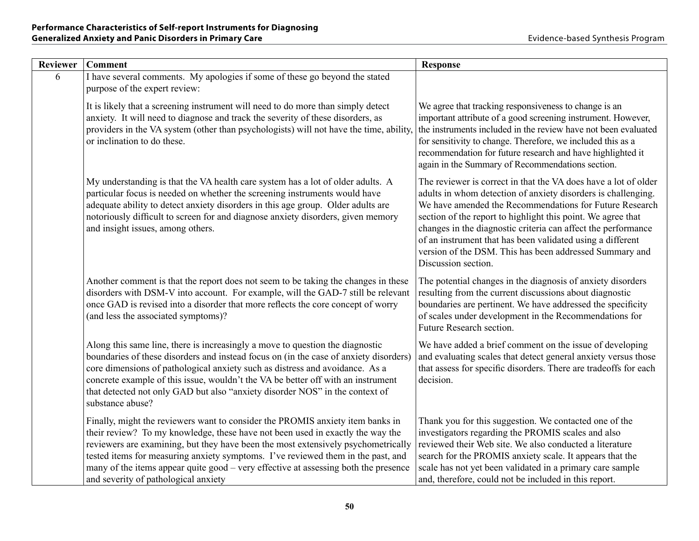| <b>Reviewer</b> | <b>Comment</b>                                                                                                                                                                                                                                                                                                                                                                                                                                                           | <b>Response</b>                                                                                                                                                                                                                                                                                                                                                                                                                                                              |
|-----------------|--------------------------------------------------------------------------------------------------------------------------------------------------------------------------------------------------------------------------------------------------------------------------------------------------------------------------------------------------------------------------------------------------------------------------------------------------------------------------|------------------------------------------------------------------------------------------------------------------------------------------------------------------------------------------------------------------------------------------------------------------------------------------------------------------------------------------------------------------------------------------------------------------------------------------------------------------------------|
| 6               | I have several comments. My apologies if some of these go beyond the stated<br>purpose of the expert review:                                                                                                                                                                                                                                                                                                                                                             |                                                                                                                                                                                                                                                                                                                                                                                                                                                                              |
|                 | It is likely that a screening instrument will need to do more than simply detect<br>anxiety. It will need to diagnose and track the severity of these disorders, as<br>providers in the VA system (other than psychologists) will not have the time, ability,<br>or inclination to do these.                                                                                                                                                                             | We agree that tracking responsiveness to change is an<br>important attribute of a good screening instrument. However,<br>the instruments included in the review have not been evaluated<br>for sensitivity to change. Therefore, we included this as a<br>recommendation for future research and have highlighted it<br>again in the Summary of Recommendations section.                                                                                                     |
|                 | My understanding is that the VA health care system has a lot of older adults. A<br>particular focus is needed on whether the screening instruments would have<br>adequate ability to detect anxiety disorders in this age group. Older adults are<br>notoriously difficult to screen for and diagnose anxiety disorders, given memory<br>and insight issues, among others.                                                                                               | The reviewer is correct in that the VA does have a lot of older<br>adults in whom detection of anxiety disorders is challenging.<br>We have amended the Recommendations for Future Research<br>section of the report to highlight this point. We agree that<br>changes in the diagnostic criteria can affect the performance<br>of an instrument that has been validated using a different<br>version of the DSM. This has been addressed Summary and<br>Discussion section. |
|                 | Another comment is that the report does not seem to be taking the changes in these<br>disorders with DSM-V into account. For example, will the GAD-7 still be relevant<br>once GAD is revised into a disorder that more reflects the core concept of worry<br>(and less the associated symptoms)?                                                                                                                                                                        | The potential changes in the diagnosis of anxiety disorders<br>resulting from the current discussions about diagnostic<br>boundaries are pertinent. We have addressed the specificity<br>of scales under development in the Recommendations for<br>Future Research section.                                                                                                                                                                                                  |
|                 | Along this same line, there is increasingly a move to question the diagnostic<br>boundaries of these disorders and instead focus on (in the case of anxiety disorders)<br>core dimensions of pathological anxiety such as distress and avoidance. As a<br>concrete example of this issue, wouldn't the VA be better off with an instrument<br>that detected not only GAD but also "anxiety disorder NOS" in the context of<br>substance abuse?                           | We have added a brief comment on the issue of developing<br>and evaluating scales that detect general anxiety versus those<br>that assess for specific disorders. There are tradeoffs for each<br>decision.                                                                                                                                                                                                                                                                  |
|                 | Finally, might the reviewers want to consider the PROMIS anxiety item banks in<br>their review? To my knowledge, these have not been used in exactly the way the<br>reviewers are examining, but they have been the most extensively psychometrically<br>tested items for measuring anxiety symptoms. I've reviewed them in the past, and<br>many of the items appear quite good – very effective at assessing both the presence<br>and severity of pathological anxiety | Thank you for this suggestion. We contacted one of the<br>investigators regarding the PROMIS scales and also<br>reviewed their Web site. We also conducted a literature<br>search for the PROMIS anxiety scale. It appears that the<br>scale has not yet been validated in a primary care sample<br>and, therefore, could not be included in this report.                                                                                                                    |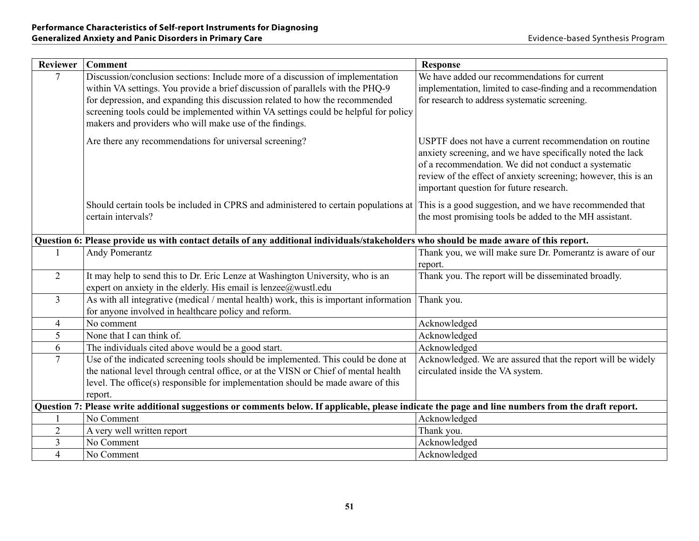| <b>Reviewer</b> | <b>Comment</b>                                                                                                                                                                                                                                                                                                                                                                                     | <b>Response</b>                                                                                                                                                                                                                                                                            |
|-----------------|----------------------------------------------------------------------------------------------------------------------------------------------------------------------------------------------------------------------------------------------------------------------------------------------------------------------------------------------------------------------------------------------------|--------------------------------------------------------------------------------------------------------------------------------------------------------------------------------------------------------------------------------------------------------------------------------------------|
| $\overline{7}$  | Discussion/conclusion sections: Include more of a discussion of implementation<br>within VA settings. You provide a brief discussion of parallels with the PHQ-9<br>for depression, and expanding this discussion related to how the recommended<br>screening tools could be implemented within VA settings could be helpful for policy<br>makers and providers who will make use of the findings. | We have added our recommendations for current<br>implementation, limited to case-finding and a recommendation<br>for research to address systematic screening.                                                                                                                             |
|                 | Are there any recommendations for universal screening?                                                                                                                                                                                                                                                                                                                                             | USPTF does not have a current recommendation on routine<br>anxiety screening, and we have specifically noted the lack<br>of a recommendation. We did not conduct a systematic<br>review of the effect of anxiety screening; however, this is an<br>important question for future research. |
|                 | Should certain tools be included in CPRS and administered to certain populations at<br>certain intervals?                                                                                                                                                                                                                                                                                          | This is a good suggestion, and we have recommended that<br>the most promising tools be added to the MH assistant.                                                                                                                                                                          |
|                 | Question 6: Please provide us with contact details of any additional individuals/stakeholders who should be made aware of this report.                                                                                                                                                                                                                                                             |                                                                                                                                                                                                                                                                                            |
|                 | <b>Andy Pomerantz</b>                                                                                                                                                                                                                                                                                                                                                                              | Thank you, we will make sure Dr. Pomerantz is aware of our<br>report.                                                                                                                                                                                                                      |
| $\overline{2}$  | It may help to send this to Dr. Eric Lenze at Washington University, who is an<br>expert on anxiety in the elderly. His email is lenzee@wustl.edu                                                                                                                                                                                                                                                  | Thank you. The report will be disseminated broadly.                                                                                                                                                                                                                                        |
| $\overline{3}$  | As with all integrative (medical / mental health) work, this is important information<br>for anyone involved in healthcare policy and reform.                                                                                                                                                                                                                                                      | Thank you.                                                                                                                                                                                                                                                                                 |
| $\overline{4}$  | No comment                                                                                                                                                                                                                                                                                                                                                                                         | Acknowledged                                                                                                                                                                                                                                                                               |
| 5               | None that I can think of.                                                                                                                                                                                                                                                                                                                                                                          | Acknowledged                                                                                                                                                                                                                                                                               |
| 6               | The individuals cited above would be a good start.                                                                                                                                                                                                                                                                                                                                                 | Acknowledged                                                                                                                                                                                                                                                                               |
| $\overline{7}$  | Use of the indicated screening tools should be implemented. This could be done at<br>the national level through central office, or at the VISN or Chief of mental health<br>level. The office(s) responsible for implementation should be made aware of this<br>report.                                                                                                                            | Acknowledged. We are assured that the report will be widely<br>circulated inside the VA system.                                                                                                                                                                                            |
|                 | Question 7: Please write additional suggestions or comments below. If applicable, please indicate the page and line numbers from the draft report.                                                                                                                                                                                                                                                 |                                                                                                                                                                                                                                                                                            |
|                 | No Comment                                                                                                                                                                                                                                                                                                                                                                                         | Acknowledged                                                                                                                                                                                                                                                                               |
| $\overline{2}$  | A very well written report                                                                                                                                                                                                                                                                                                                                                                         | Thank you.                                                                                                                                                                                                                                                                                 |
| $\overline{3}$  | No Comment                                                                                                                                                                                                                                                                                                                                                                                         | Acknowledged                                                                                                                                                                                                                                                                               |
| $\overline{4}$  | No Comment                                                                                                                                                                                                                                                                                                                                                                                         | Acknowledged                                                                                                                                                                                                                                                                               |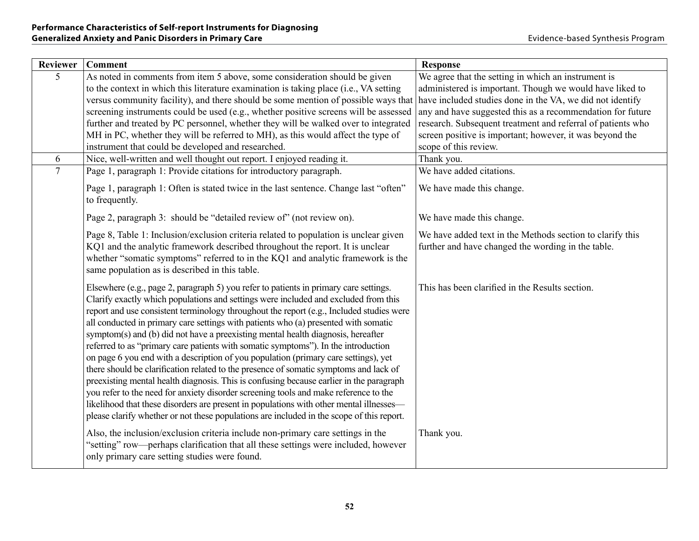| <b>Reviewer</b> | <b>Comment</b>                                                                                                                                                                                                                                                                                                                                                                                                                                                                                                                                                                                                                                                                                                                                                                                                                                                                                                                                                                                                                                                                                       | <b>Response</b>                                                                                                           |
|-----------------|------------------------------------------------------------------------------------------------------------------------------------------------------------------------------------------------------------------------------------------------------------------------------------------------------------------------------------------------------------------------------------------------------------------------------------------------------------------------------------------------------------------------------------------------------------------------------------------------------------------------------------------------------------------------------------------------------------------------------------------------------------------------------------------------------------------------------------------------------------------------------------------------------------------------------------------------------------------------------------------------------------------------------------------------------------------------------------------------------|---------------------------------------------------------------------------------------------------------------------------|
| 5               | As noted in comments from item 5 above, some consideration should be given                                                                                                                                                                                                                                                                                                                                                                                                                                                                                                                                                                                                                                                                                                                                                                                                                                                                                                                                                                                                                           | We agree that the setting in which an instrument is                                                                       |
|                 | to the context in which this literature examination is taking place (i.e., VA setting                                                                                                                                                                                                                                                                                                                                                                                                                                                                                                                                                                                                                                                                                                                                                                                                                                                                                                                                                                                                                | administered is important. Though we would have liked to                                                                  |
|                 | versus community facility), and there should be some mention of possible ways that                                                                                                                                                                                                                                                                                                                                                                                                                                                                                                                                                                                                                                                                                                                                                                                                                                                                                                                                                                                                                   | have included studies done in the VA, we did not identify                                                                 |
|                 | screening instruments could be used (e.g., whether positive screens will be assessed<br>further and treated by PC personnel, whether they will be walked over to integrated                                                                                                                                                                                                                                                                                                                                                                                                                                                                                                                                                                                                                                                                                                                                                                                                                                                                                                                          | any and have suggested this as a recommendation for future<br>research. Subsequent treatment and referral of patients who |
|                 | MH in PC, whether they will be referred to MH), as this would affect the type of                                                                                                                                                                                                                                                                                                                                                                                                                                                                                                                                                                                                                                                                                                                                                                                                                                                                                                                                                                                                                     | screen positive is important; however, it was beyond the                                                                  |
|                 | instrument that could be developed and researched.                                                                                                                                                                                                                                                                                                                                                                                                                                                                                                                                                                                                                                                                                                                                                                                                                                                                                                                                                                                                                                                   | scope of this review.                                                                                                     |
| 6               | Nice, well-written and well thought out report. I enjoyed reading it.                                                                                                                                                                                                                                                                                                                                                                                                                                                                                                                                                                                                                                                                                                                                                                                                                                                                                                                                                                                                                                | Thank you.                                                                                                                |
| $\overline{7}$  | Page 1, paragraph 1: Provide citations for introductory paragraph.                                                                                                                                                                                                                                                                                                                                                                                                                                                                                                                                                                                                                                                                                                                                                                                                                                                                                                                                                                                                                                   | We have added citations.                                                                                                  |
|                 | Page 1, paragraph 1: Often is stated twice in the last sentence. Change last "often"<br>to frequently.                                                                                                                                                                                                                                                                                                                                                                                                                                                                                                                                                                                                                                                                                                                                                                                                                                                                                                                                                                                               | We have made this change.                                                                                                 |
|                 | Page 2, paragraph 3: should be "detailed review of" (not review on).                                                                                                                                                                                                                                                                                                                                                                                                                                                                                                                                                                                                                                                                                                                                                                                                                                                                                                                                                                                                                                 | We have made this change.                                                                                                 |
|                 | Page 8, Table 1: Inclusion/exclusion criteria related to population is unclear given<br>KQ1 and the analytic framework described throughout the report. It is unclear<br>whether "somatic symptoms" referred to in the KQ1 and analytic framework is the<br>same population as is described in this table.                                                                                                                                                                                                                                                                                                                                                                                                                                                                                                                                                                                                                                                                                                                                                                                           | We have added text in the Methods section to clarify this<br>further and have changed the wording in the table.           |
|                 | Elsewhere (e.g., page 2, paragraph 5) you refer to patients in primary care settings.<br>Clarify exactly which populations and settings were included and excluded from this<br>report and use consistent terminology throughout the report (e.g., Included studies were<br>all conducted in primary care settings with patients who (a) presented with somatic<br>symptom(s) and (b) did not have a preexisting mental health diagnosis, hereafter<br>referred to as "primary care patients with somatic symptoms"). In the introduction<br>on page 6 you end with a description of you population (primary care settings), yet<br>there should be clarification related to the presence of somatic symptoms and lack of<br>preexisting mental health diagnosis. This is confusing because earlier in the paragraph<br>you refer to the need for anxiety disorder screening tools and make reference to the<br>likelihood that these disorders are present in populations with other mental illnesses—<br>please clarify whether or not these populations are included in the scope of this report. | This has been clarified in the Results section.                                                                           |
|                 | Also, the inclusion/exclusion criteria include non-primary care settings in the<br>"setting" row—perhaps clarification that all these settings were included, however<br>only primary care setting studies were found.                                                                                                                                                                                                                                                                                                                                                                                                                                                                                                                                                                                                                                                                                                                                                                                                                                                                               | Thank you.                                                                                                                |